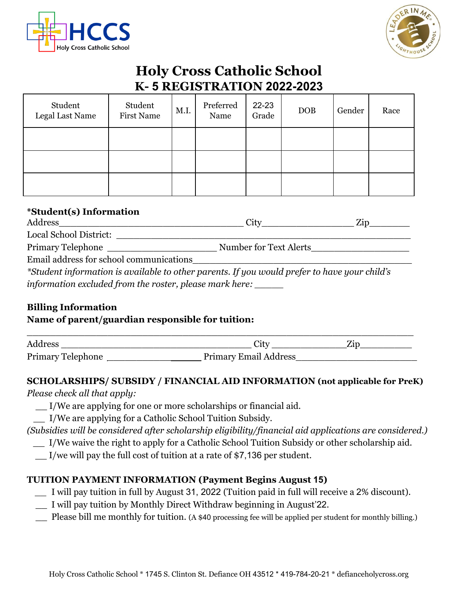



# **Holy Cross Catholic School K- 5 REGISTRATION 2022-2023**

| Student<br>Legal Last Name | Student<br><b>First Name</b> | M.I. | Preferred<br>Name | 22-23<br>Grade | <b>DOB</b> | Gender | Race |
|----------------------------|------------------------------|------|-------------------|----------------|------------|--------|------|
|                            |                              |      |                   |                |            |        |      |
|                            |                              |      |                   |                |            |        |      |
|                            |                              |      |                   |                |            |        |      |

## **\*Student(s) Information**

| Address                                                                                                                                       | City                                                                                                                              | Zin |  |  |
|-----------------------------------------------------------------------------------------------------------------------------------------------|-----------------------------------------------------------------------------------------------------------------------------------|-----|--|--|
| Local School District:                                                                                                                        |                                                                                                                                   |     |  |  |
| <b>Primary Telephone</b>                                                                                                                      | Number for Text Alerts                                                                                                            |     |  |  |
| Email address for school communications                                                                                                       |                                                                                                                                   |     |  |  |
| $\mathcal{L} \sim \mathcal{L}$ , and $\mathcal{L} \sim \mathcal{L}$ , and $\mathcal{L} \sim \mathcal{L}$ , and $\mathcal{L} \sim \mathcal{L}$ | $\mathcal{L}$ , $\mathcal{L}$ , and $\mathcal{L}$ , and $\mathcal{L}$ , and $\mathcal{L}$ , and $\mathcal{L}$ , and $\mathcal{L}$ |     |  |  |

*\*Student information is available to other parents. If you would prefer to have your child's information excluded from the roster, please mark here: \_\_\_\_\_*

# **Billing Information**

### **Name of parent/guardian responsible for tuition:**

| Address                  | Jity                         | ⊿Ρ |
|--------------------------|------------------------------|----|
| <b>Primary Telephone</b> | <b>Primary Email Address</b> |    |

### **SCHOLARSHIPS/ SUBSIDY / FINANCIAL AID INFORMATION (not applicable for PreK)**

*Please check all that apply:*

- \_\_ I/We are applying for one or more scholarships or financial aid.
- \_\_ I/We are applying for a Catholic School Tuition Subsidy.

### *(Subsidies will be considered after scholarship eligibility/financial aid applications are considered.)*

- \_\_ I/We waive the right to apply for a Catholic School Tuition Subsidy or other scholarship aid.
- \_\_ I/we will pay the full cost of tuition at a rate of \$7,136 per student.

# **TUITION PAYMENT INFORMATION (Payment Begins August 15)**

- *\_\_* I will pay tuition in full by August 31, 2022 (Tuition paid in full will receive a 2% discount).
- \_\_ I will pay tuition by Monthly Direct Withdraw beginning in August'22.
- Please bill me monthly for tuition. (A \$40 processing fee will be applied per student for monthly billing.)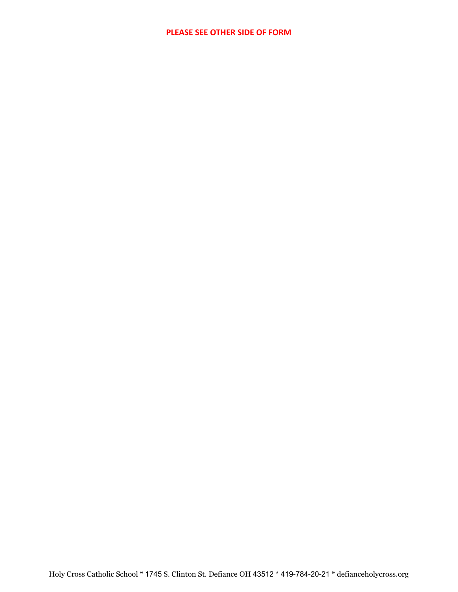#### **PLEASE SEE OTHER SIDE OF FORM**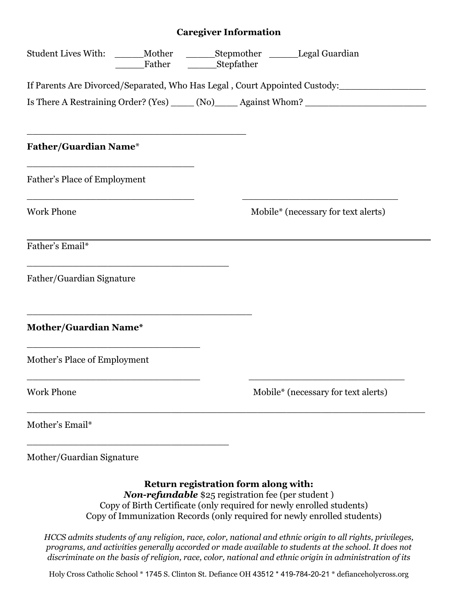#### **Caregiver Information**

|                                                                                                   | Student Lives With: ______ Mother ________ Stepmother ________ Legal Guardian<br>Father _________Stepfather |  |                                                                                                      |
|---------------------------------------------------------------------------------------------------|-------------------------------------------------------------------------------------------------------------|--|------------------------------------------------------------------------------------------------------|
|                                                                                                   |                                                                                                             |  | If Parents Are Divorced/Separated, Who Has Legal, Court Appointed Custody:                           |
|                                                                                                   |                                                                                                             |  | Is There A Restraining Order? (Yes) _____ (No)______ Against Whom? _________________________________ |
| <b>Father/Guardian Name*</b>                                                                      |                                                                                                             |  |                                                                                                      |
| Father's Place of Employment                                                                      |                                                                                                             |  |                                                                                                      |
| <u> 1980 - Johann Barbara, martxa alemaniar amerikan personal (h. 1980).</u><br><b>Work Phone</b> |                                                                                                             |  | Mobile* (necessary for text alerts)                                                                  |
| Father's Email*                                                                                   |                                                                                                             |  |                                                                                                      |
| Father/Guardian Signature                                                                         |                                                                                                             |  |                                                                                                      |
| Mother/Guardian Name*                                                                             |                                                                                                             |  |                                                                                                      |
| Mother's Place of Employment                                                                      |                                                                                                             |  |                                                                                                      |
| <b>Work Phone</b>                                                                                 |                                                                                                             |  | Mobile* (necessary for text alerts)                                                                  |
| Mother's Email*                                                                                   |                                                                                                             |  |                                                                                                      |
| Mother/Guardian Signature                                                                         |                                                                                                             |  |                                                                                                      |

**Return registration form along with:** *Non-refundable* \$25 registration fee (per student ) Copy of Birth Certificate (only required for newly enrolled students) Copy of Immunization Records (only required for newly enrolled students)

*HCCS admits students of any religion, race, color, national and ethnic origin to all rights, privileges, programs, and activities generally accorded or made available to students at the school. It does not discriminate on the basis of religion, race, color, national and ethnic origin in administration of its*

Holy Cross Catholic School \* 1745 S. Clinton St. Defiance OH 43512 \* 419-784-20-21 \* defianceholycross.org